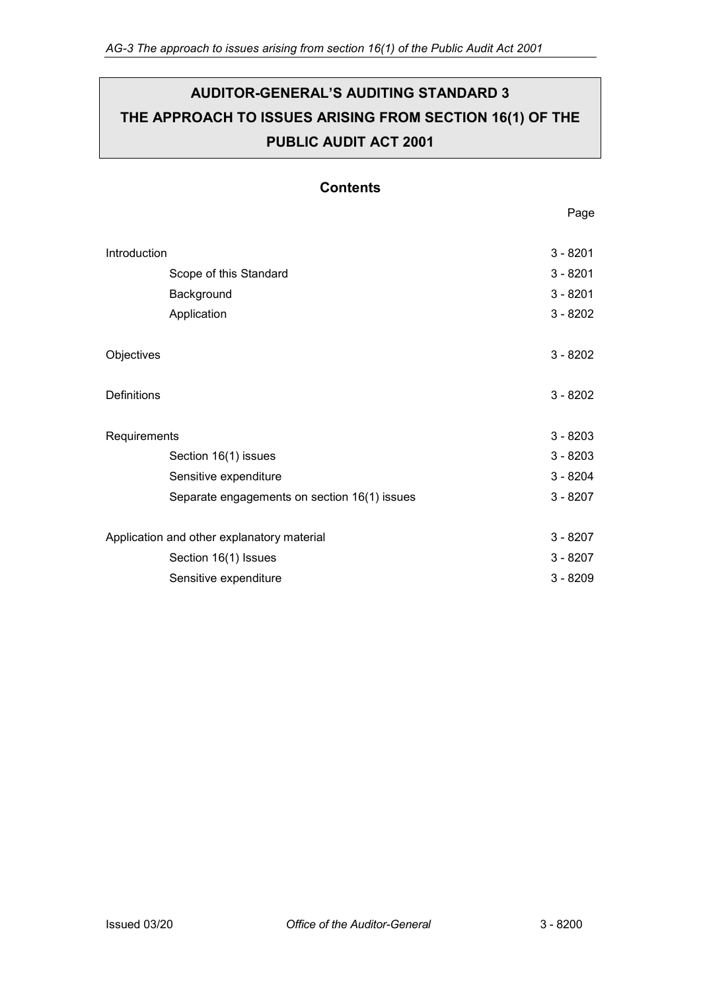# **AUDITOR-GENERAL'S AUDITING STANDARD 3 THE APPROACH TO ISSUES ARISING FROM SECTION 16(1) OF THE PUBLIC AUDIT ACT 2001**

# **Contents**

| Introduction                               |                                              | $3 - 8201$ |
|--------------------------------------------|----------------------------------------------|------------|
|                                            | Scope of this Standard                       | $3 - 8201$ |
|                                            | Background                                   | $3 - 8201$ |
|                                            | Application                                  | $3 - 8202$ |
|                                            |                                              |            |
| Objectives                                 |                                              | $3 - 8202$ |
|                                            |                                              |            |
| <b>Definitions</b>                         |                                              | $3 - 8202$ |
|                                            |                                              |            |
| Requirements                               |                                              | $3 - 8203$ |
|                                            | Section 16(1) issues                         | $3 - 8203$ |
|                                            | Sensitive expenditure                        | $3 - 8204$ |
|                                            | Separate engagements on section 16(1) issues | $3 - 8207$ |
|                                            |                                              |            |
| Application and other explanatory material |                                              | $3 - 8207$ |
|                                            | Section 16(1) Issues                         | $3 - 8207$ |
|                                            | Sensitive expenditure                        | $3 - 8209$ |
|                                            |                                              |            |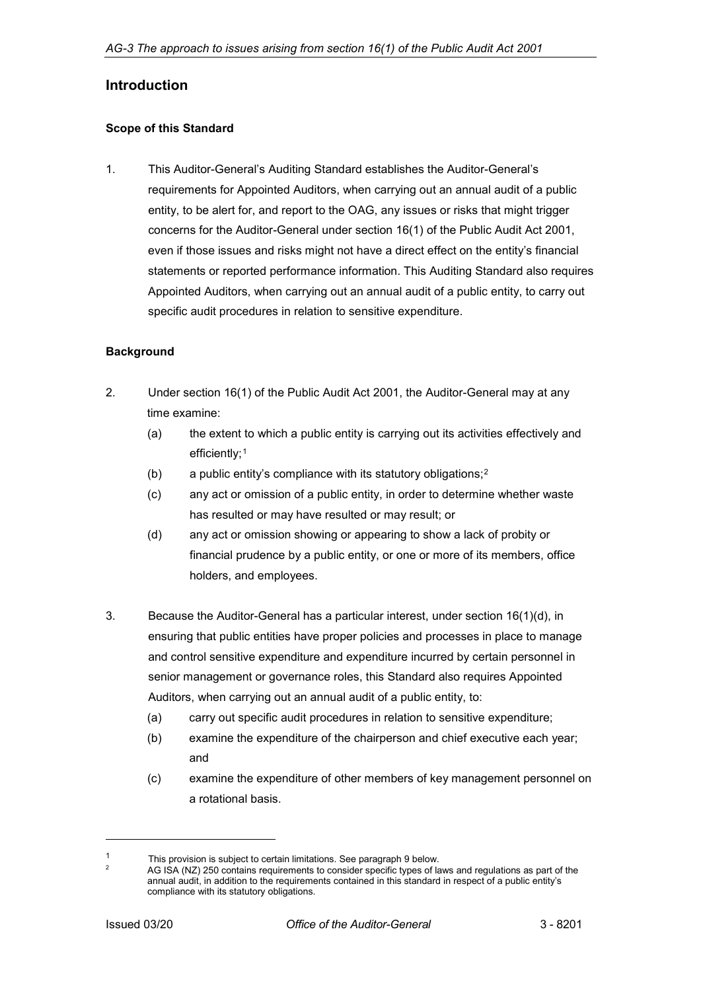# <span id="page-1-0"></span>**Introduction**

#### <span id="page-1-1"></span>**Scope of this Standard**

1. This Auditor-General's Auditing Standard establishes the Auditor-General's requirements for Appointed Auditors, when carrying out an annual audit of a public entity, to be alert for, and report to the OAG, any issues or risks that might trigger concerns for the Auditor-General under section 16(1) of the Public Audit Act 2001, even if those issues and risks might not have a direct effect on the entity's financial statements or reported performance information. This Auditing Standard also requires Appointed Auditors, when carrying out an annual audit of a public entity, to carry out specific audit procedures in relation to sensitive expenditure.

#### <span id="page-1-2"></span>**Background**

- 2. Under section 16(1) of the Public Audit Act 2001, the Auditor-General may at any time examine:
	- (a) the extent to which a public entity is carrying out its activities effectively and efficiently;<sup>[1](#page-1-3)</sup>
	- (b) a public entity's compliance with its statutory obligations;[2](#page-1-4)
	- (c) any act or omission of a public entity, in order to determine whether waste has resulted or may have resulted or may result; or
	- (d) any act or omission showing or appearing to show a lack of probity or financial prudence by a public entity, or one or more of its members, office holders, and employees.
- 3. Because the Auditor-General has a particular interest, under section 16(1)(d), in ensuring that public entities have proper policies and processes in place to manage and control sensitive expenditure and expenditure incurred by certain personnel in senior management or governance roles, this Standard also requires Appointed Auditors, when carrying out an annual audit of a public entity, to:
	- (a) carry out specific audit procedures in relation to sensitive expenditure;
	- (b) examine the expenditure of the chairperson and chief executive each year; and
	- (c) examine the expenditure of other members of key management personnel on a rotational basis.

-

<span id="page-1-4"></span><span id="page-1-3"></span><sup>1</sup> This provision is subject to certain limitations. See paragraph 9 below.

AG ISA (NZ) 250 contains requirements to consider specific types of laws and regulations as part of the annual audit, in addition to the requirements contained in this standard in respect of a public entity's compliance with its statutory obligations.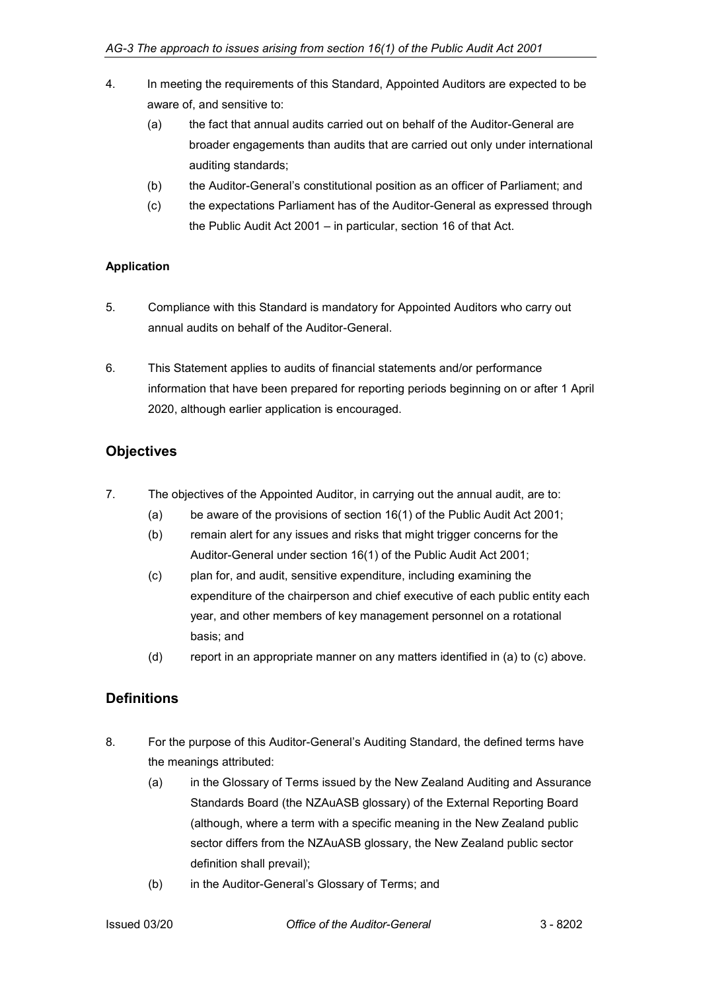- 4. In meeting the requirements of this Standard, Appointed Auditors are expected to be aware of, and sensitive to:
	- (a) the fact that annual audits carried out on behalf of the Auditor-General are broader engagements than audits that are carried out only under international auditing standards;
	- (b) the Auditor-General's constitutional position as an officer of Parliament; and
	- (c) the expectations Parliament has of the Auditor-General as expressed through the Public Audit Act 2001 – in particular, section 16 of that Act.

## <span id="page-2-0"></span>**Application**

- 5. Compliance with this Standard is mandatory for Appointed Auditors who carry out annual audits on behalf of the Auditor-General.
- 6. This Statement applies to audits of financial statements and/or performance information that have been prepared for reporting periods beginning on or after 1 April 2020, although earlier application is encouraged.

# <span id="page-2-1"></span>**Objectives**

- 7. The objectives of the Appointed Auditor, in carrying out the annual audit, are to:
	- (a) be aware of the provisions of section 16(1) of the Public Audit Act 2001;
	- (b) remain alert for any issues and risks that might trigger concerns for the Auditor-General under section 16(1) of the Public Audit Act 2001;
	- (c) plan for, and audit, sensitive expenditure, including examining the expenditure of the chairperson and chief executive of each public entity each year, and other members of key management personnel on a rotational basis; and
	- (d) report in an appropriate manner on any matters identified in (a) to (c) above.

# <span id="page-2-2"></span>**Definitions**

- 8. For the purpose of this Auditor-General's Auditing Standard, the defined terms have the meanings attributed:
	- (a) in the Glossary of Terms issued by the New Zealand Auditing and Assurance Standards Board (the NZAuASB glossary) of the External Reporting Board (although, where a term with a specific meaning in the New Zealand public sector differs from the NZAuASB glossary, the New Zealand public sector definition shall prevail);
	- (b) in the Auditor-General's Glossary of Terms; and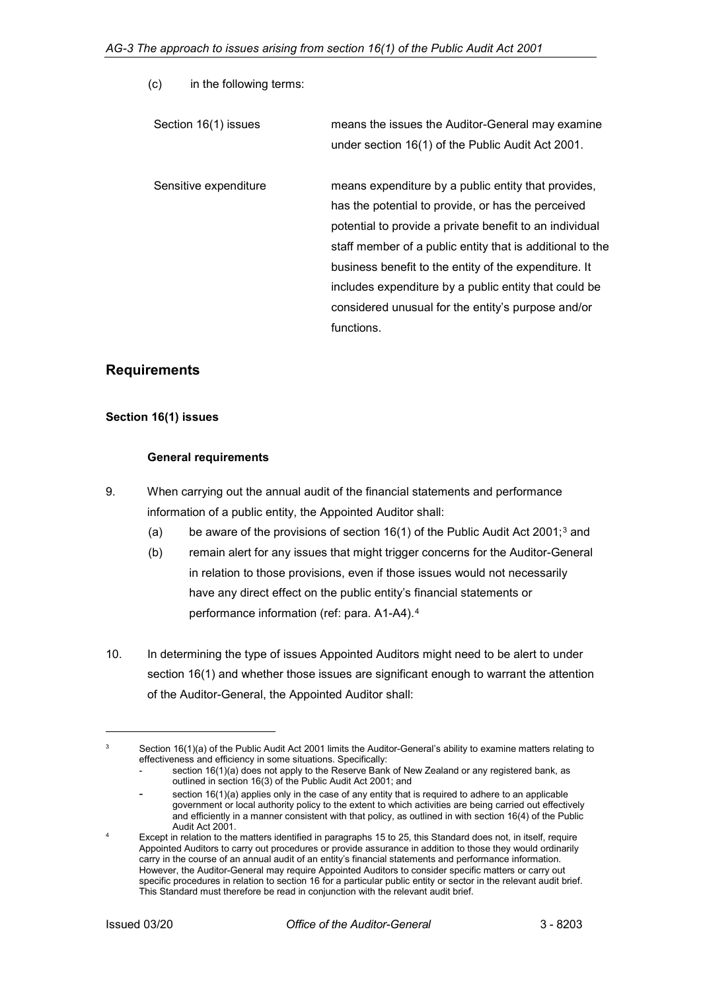(c) in the following terms:

| Section 16(1) issues  | means the issues the Auditor-General may examine<br>under section 16(1) of the Public Audit Act 2001.                                                                                                                                                                                                                                                                                                                   |
|-----------------------|-------------------------------------------------------------------------------------------------------------------------------------------------------------------------------------------------------------------------------------------------------------------------------------------------------------------------------------------------------------------------------------------------------------------------|
| Sensitive expenditure | means expenditure by a public entity that provides,<br>has the potential to provide, or has the perceived<br>potential to provide a private benefit to an individual<br>staff member of a public entity that is additional to the<br>business benefit to the entity of the expenditure. It<br>includes expenditure by a public entity that could be<br>considered unusual for the entity's purpose and/or<br>functions. |

# <span id="page-3-0"></span>**Requirements**

#### <span id="page-3-1"></span>**Section 16(1) issues**

#### **General requirements**

- 9. When carrying out the annual audit of the financial statements and performance information of a public entity, the Appointed Auditor shall:
	- (a) be aware of the provisions of section  $16(1)$  of the Public Audit Act 2001;<sup>[3](#page-3-2)</sup> and
	- (b) remain alert for any issues that might trigger concerns for the Auditor-General in relation to those provisions, even if those issues would not necessarily have any direct effect on the public entity's financial statements or performance information (ref: para. A1-A4).[4](#page-3-3)
- 10. In determining the type of issues Appointed Auditors might need to be alert to under section 16(1) and whether those issues are significant enough to warrant the attention of the Auditor-General, the Appointed Auditor shall:

-

<span id="page-3-2"></span> $3$  Section 16(1)(a) of the Public Audit Act 2001 limits the Auditor-General's ability to examine matters relating to effectiveness and efficiency in some situations. Specifically:

section 16(1)(a) does not apply to the Reserve Bank of New Zealand or any registered bank, as outlined in section 16(3) of the Public Audit Act 2001; and

section 16(1)(a) applies only in the case of any entity that is required to adhere to an applicable government or local authority policy to the extent to which activities are being carried out effectively and efficiently in a manner consistent with that policy, as outlined in with section 16(4) of the Public Audit Act 2001.

<span id="page-3-3"></span><sup>4</sup> Except in relation to the matters identified in paragraphs 15 to 25, this Standard does not, in itself, require Appointed Auditors to carry out procedures or provide assurance in addition to those they would ordinarily carry in the course of an annual audit of an entity's financial statements and performance information. However, the Auditor-General may require Appointed Auditors to consider specific matters or carry out specific procedures in relation to section 16 for a particular public entity or sector in the relevant audit brief. This Standard must therefore be read in conjunction with the relevant audit brief.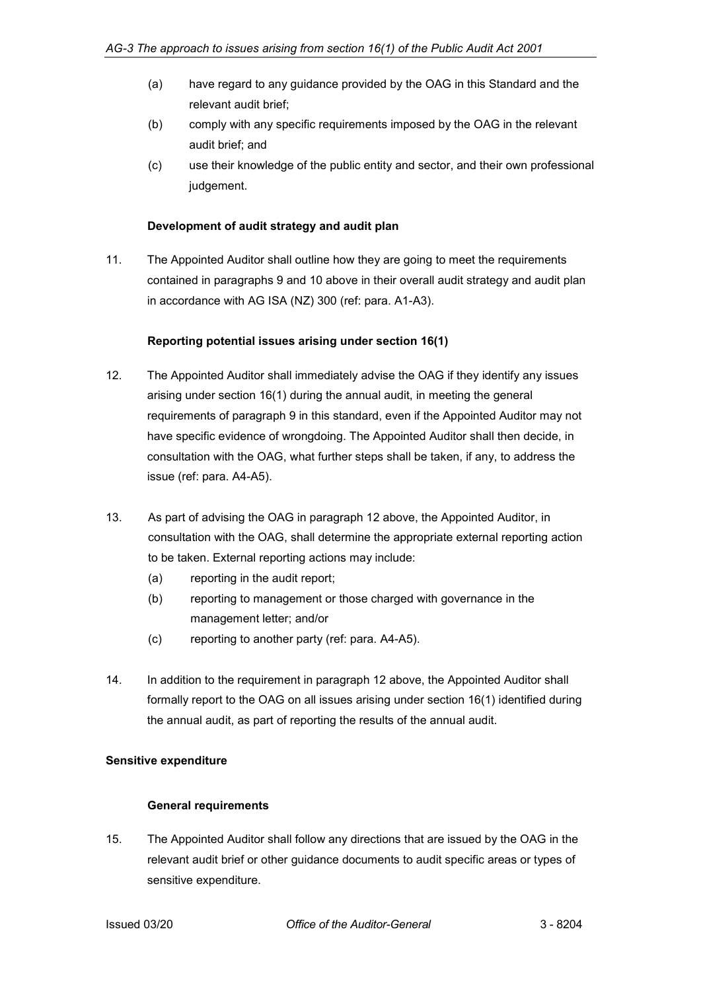- (a) have regard to any guidance provided by the OAG in this Standard and the relevant audit brief;
- (b) comply with any specific requirements imposed by the OAG in the relevant audit brief; and
- (c) use their knowledge of the public entity and sector, and their own professional judgement.

#### **Development of audit strategy and audit plan**

11. The Appointed Auditor shall outline how they are going to meet the requirements contained in paragraphs 9 and 10 above in their overall audit strategy and audit plan in accordance with AG ISA (NZ) 300 (ref: para. A1-A3).

#### **Reporting potential issues arising under section 16(1)**

- 12. The Appointed Auditor shall immediately advise the OAG if they identify any issues arising under section 16(1) during the annual audit, in meeting the general requirements of paragraph 9 in this standard, even if the Appointed Auditor may not have specific evidence of wrongdoing. The Appointed Auditor shall then decide, in consultation with the OAG, what further steps shall be taken, if any, to address the issue (ref: para. A4-A5).
- 13. As part of advising the OAG in paragraph 12 above, the Appointed Auditor, in consultation with the OAG, shall determine the appropriate external reporting action to be taken. External reporting actions may include:
	- (a) reporting in the audit report;
	- (b) reporting to management or those charged with governance in the management letter; and/or
	- (c) reporting to another party (ref: para. A4-A5).
- 14. In addition to the requirement in paragraph 12 above, the Appointed Auditor shall formally report to the OAG on all issues arising under section 16(1) identified during the annual audit, as part of reporting the results of the annual audit.

#### <span id="page-4-0"></span>**Sensitive expenditure**

## **General requirements**

15. The Appointed Auditor shall follow any directions that are issued by the OAG in the relevant audit brief or other guidance documents to audit specific areas or types of sensitive expenditure.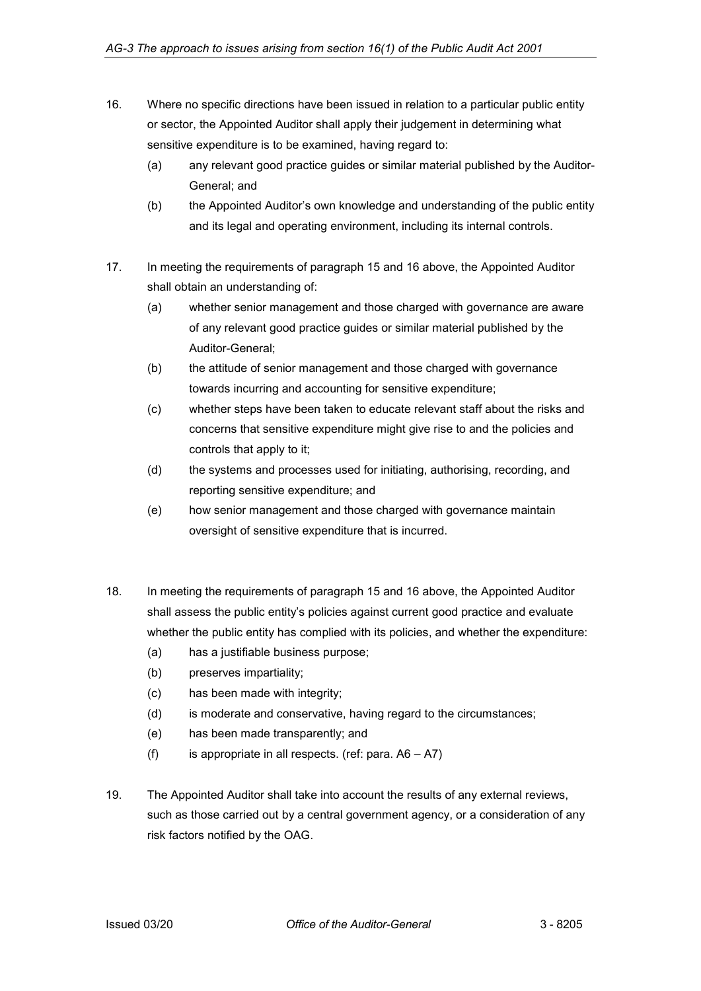- 16. Where no specific directions have been issued in relation to a particular public entity or sector, the Appointed Auditor shall apply their judgement in determining what sensitive expenditure is to be examined, having regard to:
	- (a) any relevant good practice guides or similar material published by the Auditor-General; and
	- (b) the Appointed Auditor's own knowledge and understanding of the public entity and its legal and operating environment, including its internal controls.
- 17. In meeting the requirements of paragraph 15 and 16 above, the Appointed Auditor shall obtain an understanding of:
	- (a) whether senior management and those charged with governance are aware of any relevant good practice guides or similar material published by the Auditor-General;
	- (b) the attitude of senior management and those charged with governance towards incurring and accounting for sensitive expenditure;
	- (c) whether steps have been taken to educate relevant staff about the risks and concerns that sensitive expenditure might give rise to and the policies and controls that apply to it;
	- (d) the systems and processes used for initiating, authorising, recording, and reporting sensitive expenditure; and
	- (e) how senior management and those charged with governance maintain oversight of sensitive expenditure that is incurred.
- 18. In meeting the requirements of paragraph 15 and 16 above, the Appointed Auditor shall assess the public entity's policies against current good practice and evaluate whether the public entity has complied with its policies, and whether the expenditure:
	- (a) has a justifiable business purpose;
	- (b) preserves impartiality;
	- (c) has been made with integrity;
	- (d) is moderate and conservative, having regard to the circumstances;
	- (e) has been made transparently; and
	- (f) is appropriate in all respects. (ref: para.  $A6 A7$ )
- 19. The Appointed Auditor shall take into account the results of any external reviews, such as those carried out by a central government agency, or a consideration of any risk factors notified by the OAG.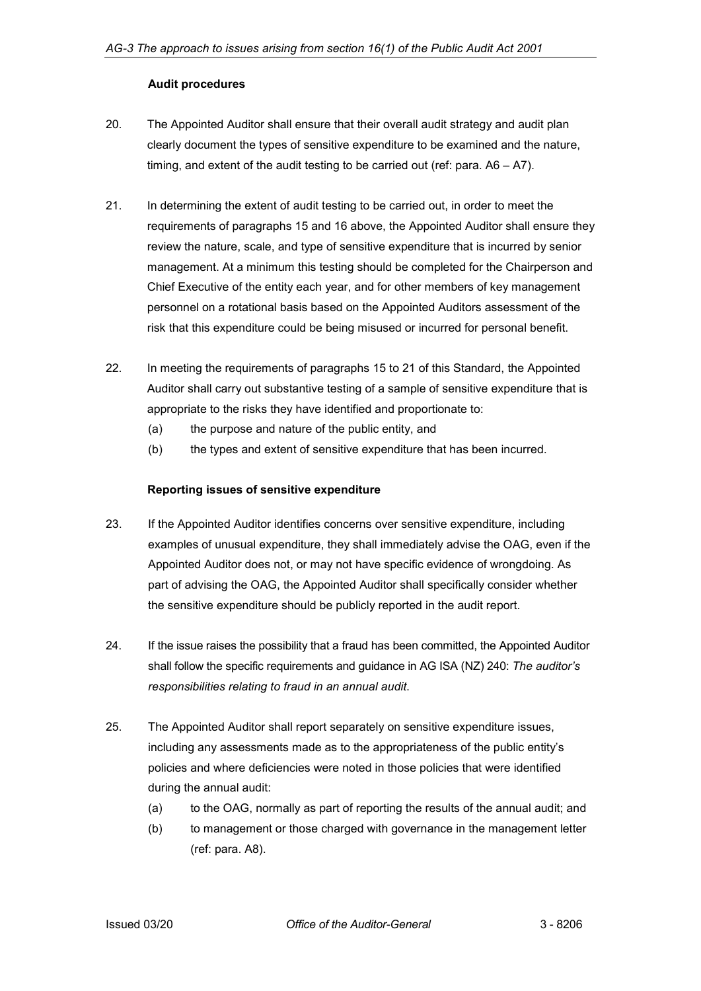#### **Audit procedures**

- 20. The Appointed Auditor shall ensure that their overall audit strategy and audit plan clearly document the types of sensitive expenditure to be examined and the nature, timing, and extent of the audit testing to be carried out (ref: para. A6 – A7).
- 21. In determining the extent of audit testing to be carried out, in order to meet the requirements of paragraphs 15 and 16 above, the Appointed Auditor shall ensure they review the nature, scale, and type of sensitive expenditure that is incurred by senior management. At a minimum this testing should be completed for the Chairperson and Chief Executive of the entity each year, and for other members of key management personnel on a rotational basis based on the Appointed Auditors assessment of the risk that this expenditure could be being misused or incurred for personal benefit.
- 22. In meeting the requirements of paragraphs 15 to 21 of this Standard, the Appointed Auditor shall carry out substantive testing of a sample of sensitive expenditure that is appropriate to the risks they have identified and proportionate to:
	- (a) the purpose and nature of the public entity, and
	- (b) the types and extent of sensitive expenditure that has been incurred.

#### **Reporting issues of sensitive expenditure**

- 23. If the Appointed Auditor identifies concerns over sensitive expenditure, including examples of unusual expenditure, they shall immediately advise the OAG, even if the Appointed Auditor does not, or may not have specific evidence of wrongdoing. As part of advising the OAG, the Appointed Auditor shall specifically consider whether the sensitive expenditure should be publicly reported in the audit report.
- 24. If the issue raises the possibility that a fraud has been committed, the Appointed Auditor shall follow the specific requirements and guidance in AG ISA (NZ) 240: *The auditor's responsibilities relating to fraud in an annual audit*.
- 25. The Appointed Auditor shall report separately on sensitive expenditure issues, including any assessments made as to the appropriateness of the public entity's policies and where deficiencies were noted in those policies that were identified during the annual audit:
	- (a) to the OAG, normally as part of reporting the results of the annual audit; and
	- (b) to management or those charged with governance in the management letter (ref: para. A8).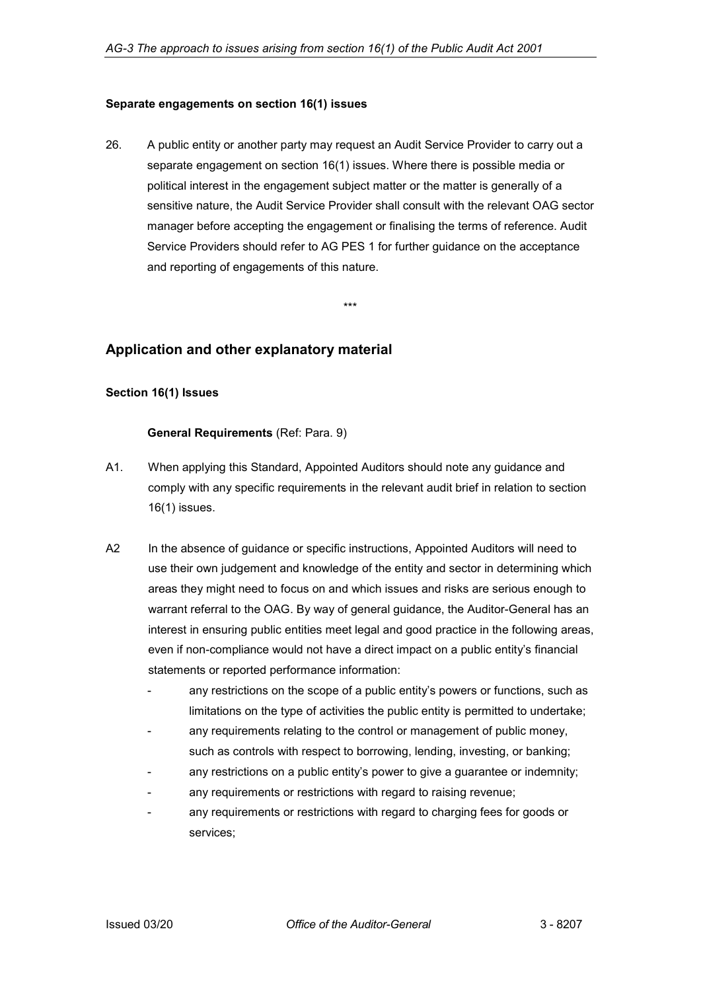#### <span id="page-7-0"></span>**Separate engagements on section 16(1) issues**

26. A public entity or another party may request an Audit Service Provider to carry out a separate engagement on section 16(1) issues. Where there is possible media or political interest in the engagement subject matter or the matter is generally of a sensitive nature, the Audit Service Provider shall consult with the relevant OAG sector manager before accepting the engagement or finalising the terms of reference. Audit Service Providers should refer to AG PES 1 for further guidance on the acceptance and reporting of engagements of this nature.

\*\*\*

## <span id="page-7-1"></span>**Application and other explanatory material**

#### <span id="page-7-2"></span>**Section 16(1) Issues**

#### **General Requirements** (Ref: Para. 9)

- A1. When applying this Standard, Appointed Auditors should note any guidance and comply with any specific requirements in the relevant audit brief in relation to section 16(1) issues.
- A2 In the absence of guidance or specific instructions, Appointed Auditors will need to use their own judgement and knowledge of the entity and sector in determining which areas they might need to focus on and which issues and risks are serious enough to warrant referral to the OAG. By way of general guidance, the Auditor-General has an interest in ensuring public entities meet legal and good practice in the following areas, even if non-compliance would not have a direct impact on a public entity's financial statements or reported performance information:
	- any restrictions on the scope of a public entity's powers or functions, such as limitations on the type of activities the public entity is permitted to undertake;
	- any requirements relating to the control or management of public money, such as controls with respect to borrowing, lending, investing, or banking;
	- any restrictions on a public entity's power to give a guarantee or indemnity;
	- any requirements or restrictions with regard to raising revenue;
	- any requirements or restrictions with regard to charging fees for goods or services;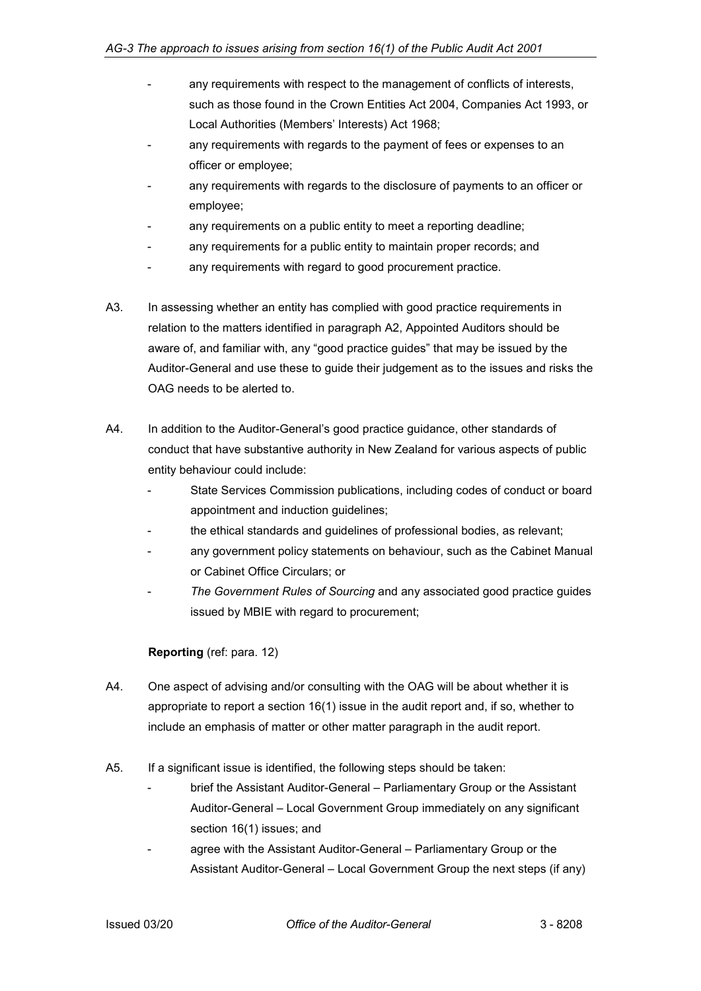- any requirements with respect to the management of conflicts of interests, such as those found in the Crown Entities Act 2004, Companies Act 1993, or Local Authorities (Members' Interests) Act 1968;
- any requirements with regards to the payment of fees or expenses to an officer or employee;
- any requirements with regards to the disclosure of payments to an officer or employee;
- any requirements on a public entity to meet a reporting deadline;
- any requirements for a public entity to maintain proper records; and
- any requirements with regard to good procurement practice.
- A3. In assessing whether an entity has complied with good practice requirements in relation to the matters identified in paragraph A2, Appointed Auditors should be aware of, and familiar with, any "good practice guides" that may be issued by the Auditor-General and use these to guide their judgement as to the issues and risks the OAG needs to be alerted to.
- A4. In addition to the Auditor-General's good practice guidance, other standards of conduct that have substantive authority in New Zealand for various aspects of public entity behaviour could include:
	- State Services Commission publications, including codes of conduct or board appointment and induction guidelines;
	- the ethical standards and guidelines of professional bodies, as relevant;
	- any government policy statements on behaviour, such as the Cabinet Manual or Cabinet Office Circulars; or
	- *The Government Rules of Sourcing* and any associated good practice guides issued by MBIE with regard to procurement;

## **Reporting** (ref: para. 12)

- A4. One aspect of advising and/or consulting with the OAG will be about whether it is appropriate to report a section 16(1) issue in the audit report and, if so, whether to include an emphasis of matter or other matter paragraph in the audit report.
- A5. If a significant issue is identified, the following steps should be taken:
	- brief the Assistant Auditor-General Parliamentary Group or the Assistant Auditor-General – Local Government Group immediately on any significant section 16(1) issues; and
	- agree with the Assistant Auditor-General Parliamentary Group or the Assistant Auditor-General – Local Government Group the next steps (if any)